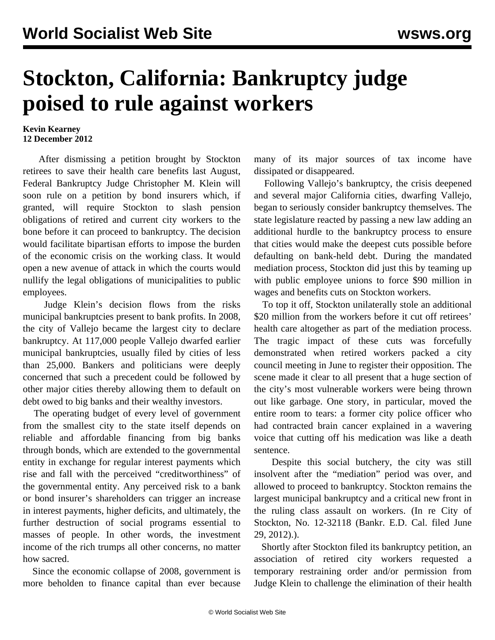## **Stockton, California: Bankruptcy judge poised to rule against workers**

## **Kevin Kearney 12 December 2012**

 After dismissing a petition brought by Stockton retirees to save their health care benefits last August, Federal Bankruptcy Judge Christopher M. Klein will soon rule on a petition by bond insurers which, if granted, will require Stockton to slash pension obligations of retired and current city workers to the bone before it can proceed to bankruptcy. The decision would facilitate bipartisan efforts to impose the burden of the economic crisis on the working class. It would open a new avenue of attack in which the courts would nullify the legal obligations of municipalities to public employees.

 Judge Klein's decision flows from the risks municipal bankruptcies present to bank profits. In 2008, the city of Vallejo became the largest city to declare bankruptcy. At 117,000 people Vallejo dwarfed earlier municipal bankruptcies, usually filed by cities of less than 25,000. Bankers and politicians were deeply concerned that such a precedent could be followed by other major cities thereby allowing them to default on debt owed to big banks and their wealthy investors.

 The operating budget of every level of government from the smallest city to the state itself depends on reliable and affordable financing from big banks through bonds, which are extended to the governmental entity in exchange for regular interest payments which rise and fall with the perceived "creditworthiness" of the governmental entity. Any perceived risk to a bank or bond insurer's shareholders can trigger an increase in interest payments, higher deficits, and ultimately, the further destruction of social programs essential to masses of people. In other words, the investment income of the rich trumps all other concerns, no matter how sacred.

 Since the economic collapse of 2008, government is more beholden to finance capital than ever because many of its major sources of tax income have dissipated or disappeared.

 Following Vallejo's bankruptcy, the crisis deepened and several major California cities, dwarfing Vallejo, began to seriously consider bankruptcy themselves. The state legislature reacted by passing a new law adding an additional hurdle to the bankruptcy process to ensure that cities would make the deepest cuts possible before defaulting on bank-held debt. During the mandated mediation process, Stockton did just this by teaming up with public employee unions to force \$90 million in wages and benefits cuts on Stockton workers.

 To top it off, Stockton unilaterally stole an additional \$20 million from the workers before it cut off retirees' health care altogether as part of the mediation process. The tragic impact of these cuts was forcefully demonstrated when retired workers packed a city council meeting in June to register their opposition. The scene made it clear to all present that a huge section of the city's most vulnerable workers were being thrown out like garbage. One story, in particular, moved the entire room to tears: a former city police officer who had contracted brain cancer explained in a wavering voice that cutting off his medication was like a death sentence.

 Despite this social butchery, the city was still insolvent after the "mediation" period was over, and allowed to proceed to bankruptcy. Stockton remains the largest municipal bankruptcy and a critical new front in the ruling class assault on workers. (In re City of Stockton, No. 12-32118 (Bankr. E.D. Cal. filed June 29, 2012).).

 Shortly after Stockton filed its bankruptcy petition, an association of retired city workers requested a temporary restraining order and/or permission from Judge Klein to challenge the elimination of their health